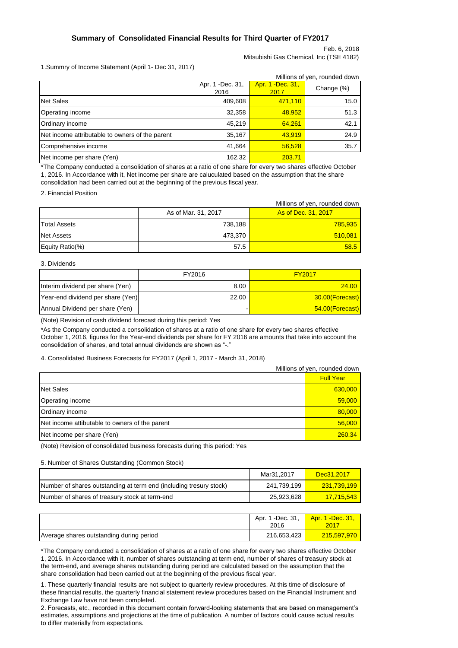### **Summary of Consolidated Financial Results for Third Quarter of FY2017**

Feb. 6, 2018 Mitsubishi Gas Chemical, Inc (TSE 4182)

1.Summry of Income Statement (April 1- Dec 31, 2017)

|                                                 |                           |                           | Millions of yen, rounded down |
|-------------------------------------------------|---------------------------|---------------------------|-------------------------------|
|                                                 | Apr. 1 - Dec. 31,<br>2016 | Apr. 1 - Dec. 31,<br>2017 | Change (%)                    |
| Net Sales                                       | 409,608                   | 471,110                   | 15.0                          |
| Operating income                                | 32,358                    | 48,952                    | 51.3                          |
| Ordinary income                                 | 45.219                    | 64.261                    | 42.1                          |
| Net income attributable to owners of the parent | 35,167                    | 43.919                    | 24.9                          |
| Comprehensive income                            | 41,664                    | 56,528                    | 35.7                          |
| Net income per share (Yen)                      | 162.32                    | 203.71                    |                               |

\*The Company conducted a consolidation of shares at a ratio of one share for every two shares effective October 1, 2016. In Accordance with it, Net income per share are caluculated based on the assumption that the share consolidation had been carried out at the beginning of the previous fiscal year.

2. Financial Position

|                     |                     | Millions of yen, rounded down |
|---------------------|---------------------|-------------------------------|
|                     | As of Mar. 31, 2017 | As of Dec. 31, 2017           |
| <b>Total Assets</b> | 738.188             | <b>785,935</b>                |
| <b>Net Assets</b>   | 473.370             | 510,081                       |
| Equity Ratio(%)     | 57.5                | 58.5                          |

#### 3. Dividends

|                                   | FY2016 | <b>FY2017</b>   |
|-----------------------------------|--------|-----------------|
| Interim dividend per share (Yen)  | 8.00   | 24.00           |
| Year-end dividend per share (Yen) | 22.00  | 30.00(Forecast) |
| Annual Dividend per share (Yen)   |        | 54.00(Forecast) |

(Note) Revision of cash dividend forecast during this period: Yes

\*As the Company conducted a consolidation of shares at a ratio of one share for every two shares effective October 1, 2016, figures for the Year-end dividends per share for FY 2016 are amounts that take into account the consolidation of shares, and total annual dividends are shown as "-."

#### 4. Consolidated Business Forecasts for FY2017 (April 1, 2017 - March 31, 2018)

|                                                | Millions of yen, rounded down |
|------------------------------------------------|-------------------------------|
|                                                | <b>Full Year</b>              |
| <b>Net Sales</b>                               | 630,000                       |
| Operating income                               | 59,000                        |
| Ordinary income                                | 80,000                        |
| Net income attibutable to owners of the parent | 56,000                        |
| Net income per share (Yen)                     | 260.34                        |

(Note) Revision of consolidated business forecasts during this period: Yes

#### 5. Number of Shares Outstanding (Common Stock)

|                                                                    | Mar31.2017  | Dec31.2017               |
|--------------------------------------------------------------------|-------------|--------------------------|
| Number of shares outstanding at term end (including tresury stock) | 241.739.199 | <mark>231,739,199</mark> |
| Number of shares of treasury stock at term-end                     | 25.923.628  | <u>17.715.543</u>        |

|                                          | Apr. 1 - Dec. 31,<br>2016 | <u>Apr. 1 -Dec. 31, </u><br>2017 |
|------------------------------------------|---------------------------|----------------------------------|
| Average shares outstanding during period | 216,653,423               | $\sqrt{215,597,970}$             |

\*The Company conducted a consolidation of shares at a ratio of one share for every two shares effective October 1, 2016. In Accordance with it, number of shares outstanding at term end, number of shares of treasury stock at the term-end, and average shares outstanding during period are calculated based on the assumption that the share consolidation had been carried out at the beginning of the previous fiscal year.

1. These quarterly financial results are not subject to quarterly review procedures. At this time of disclosure of these financial results, the quarterly financial statement review procedures based on the Financial Instrument and Exchange Law have not been completed.

2. Forecasts, etc., recorded in this document contain forward-looking statements that are based on management's estimates, assumptions and projections at the time of publication. A number of factors could cause actual results to differ materially from expectations.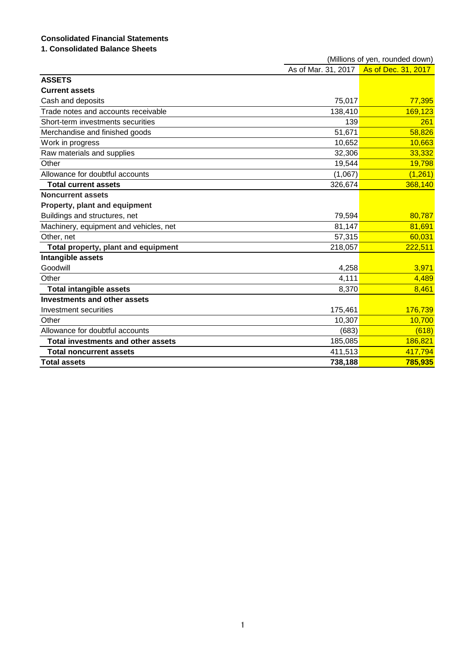# **Consolidated Financial Statements**

## **1. Consolidated Balance Sheets**

|                                        | (Millions of yen, rounded down) |                     |  |  |
|----------------------------------------|---------------------------------|---------------------|--|--|
|                                        | As of Mar. 31, 2017             | As of Dec. 31, 2017 |  |  |
| <b>ASSETS</b>                          |                                 |                     |  |  |
| <b>Current assets</b>                  |                                 |                     |  |  |
| Cash and deposits                      | 75,017                          | 77,395              |  |  |
| Trade notes and accounts receivable    | 138,410                         | 169,123             |  |  |
| Short-term investments securities      | 139                             | 261                 |  |  |
| Merchandise and finished goods         | 51,671                          | 58,826              |  |  |
| Work in progress                       | 10,652                          | 10,663              |  |  |
| Raw materials and supplies             | 32,306                          | 33,332              |  |  |
| Other                                  | 19,544                          | 19,798              |  |  |
| Allowance for doubtful accounts        | (1,067)                         | (1, 261)            |  |  |
| <b>Total current assets</b>            | 326,674                         | 368,140             |  |  |
| <b>Noncurrent assets</b>               |                                 |                     |  |  |
| Property, plant and equipment          |                                 |                     |  |  |
| Buildings and structures, net          | 79,594                          | 80,787              |  |  |
| Machinery, equipment and vehicles, net | 81,147                          | 81,691              |  |  |
| Other, net                             | 57,315                          | 60,031              |  |  |
| Total property, plant and equipment    | 218,057                         | 222,511             |  |  |
| Intangible assets                      |                                 |                     |  |  |
| Goodwill                               | 4,258                           | 3,971               |  |  |
| Other                                  | 4,111                           | 4,489               |  |  |
| <b>Total intangible assets</b>         | 8,370                           | 8,461               |  |  |
| <b>Investments and other assets</b>    |                                 |                     |  |  |
| Investment securities                  | 175,461                         | 176,739             |  |  |
| Other                                  | 10,307                          | 10,700              |  |  |
| Allowance for doubtful accounts        | (683)                           | (618)               |  |  |
| Total investments and other assets     | 185,085                         | 186,821             |  |  |
| <b>Total noncurrent assets</b>         | 411,513                         | 417,794             |  |  |
| <b>Total assets</b>                    | 738,188                         | 785,935             |  |  |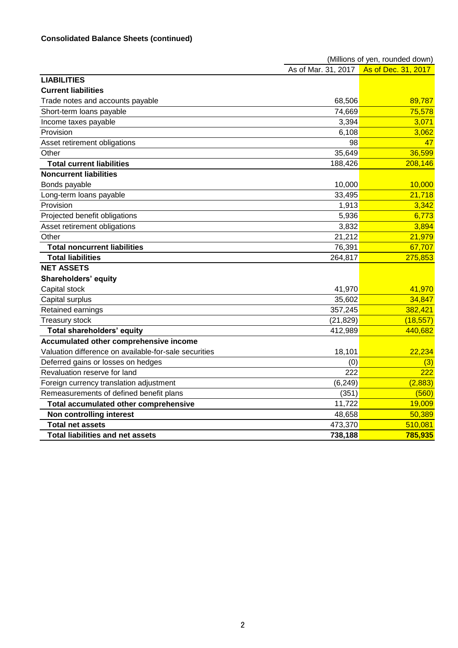|                                                       | (Millions of yen, rounded down) |                     |  |  |
|-------------------------------------------------------|---------------------------------|---------------------|--|--|
|                                                       | As of Mar. 31, 2017             | As of Dec. 31, 2017 |  |  |
| <b>LIABILITIES</b>                                    |                                 |                     |  |  |
| <b>Current liabilities</b>                            |                                 |                     |  |  |
| Trade notes and accounts payable                      | 68,506                          | 89,787              |  |  |
| Short-term loans payable                              | 74,669                          | 75,578              |  |  |
| Income taxes payable                                  | 3,394                           | 3,071               |  |  |
| Provision                                             | 6,108                           | 3,062               |  |  |
| Asset retirement obligations                          | 98                              | 47                  |  |  |
| Other                                                 | 35,649                          | 36,599              |  |  |
| <b>Total current liabilities</b>                      | 188,426                         | 208,146             |  |  |
| <b>Noncurrent liabilities</b>                         |                                 |                     |  |  |
| Bonds payable                                         | 10,000                          | 10,000              |  |  |
| Long-term loans payable                               | 33,495                          | 21,718              |  |  |
| Provision                                             | 1,913                           | 3,342               |  |  |
| Projected benefit obligations                         | 5,936                           | 6,773               |  |  |
| Asset retirement obligations                          | 3,832                           | 3,894               |  |  |
| Other                                                 | 21,212                          | 21,979              |  |  |
| <b>Total noncurrent liabilities</b>                   | 76,391                          | 67,707              |  |  |
| <b>Total liabilities</b>                              | 264,817                         | 275,853             |  |  |
| <b>NET ASSETS</b>                                     |                                 |                     |  |  |
| <b>Shareholders' equity</b>                           |                                 |                     |  |  |
| Capital stock                                         | 41,970                          | 41,970              |  |  |
| Capital surplus                                       | 35,602                          | 34,847              |  |  |
| Retained earnings                                     | 357,245                         | 382,421             |  |  |
| <b>Treasury stock</b>                                 | (21, 829)                       | (18, 557)           |  |  |
| <b>Total shareholders' equity</b>                     | 412,989                         | 440,682             |  |  |
| Accumulated other comprehensive income                |                                 |                     |  |  |
| Valuation difference on available-for-sale securities | 18,101                          | 22,234              |  |  |
| Deferred gains or losses on hedges                    | (0)                             | (3)                 |  |  |
| Revaluation reserve for land                          | 222                             | 222                 |  |  |
| Foreign currency translation adjustment               | (6, 249)                        | (2,883)             |  |  |
| Remeasurements of defined benefit plans               | (351)                           | (560)               |  |  |
| Total accumulated other comprehensive                 | 11,722                          | 19,009              |  |  |
| Non controlling interest                              | 48,658                          | 50,389              |  |  |
| <b>Total net assets</b>                               | 473,370                         | 510,081             |  |  |
| <b>Total liabilities and net assets</b>               | 738,188                         | 785,935             |  |  |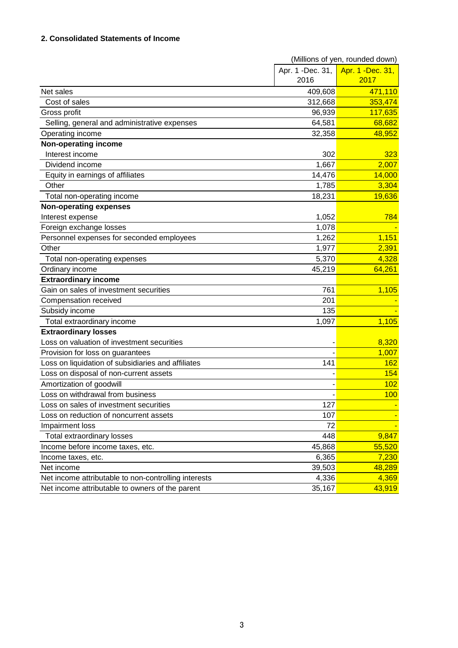### **2. Consolidated Statements of Income**

|                                                      | (Millions of yen, rounded down) |                   |  |
|------------------------------------------------------|---------------------------------|-------------------|--|
|                                                      | Apr. 1 -Dec. 31,                | Apr. 1 - Dec. 31, |  |
|                                                      | 2016                            | 2017              |  |
| Net sales                                            | 409,608                         | 471,110           |  |
| Cost of sales                                        | 312,668                         | 353,474           |  |
| Gross profit                                         | 96,939                          | 117,635           |  |
| Selling, general and administrative expenses         | 64,581                          | 68,682            |  |
| Operating income                                     | 32,358                          | 48,952            |  |
| Non-operating income                                 |                                 |                   |  |
| Interest income                                      | 302                             | 323               |  |
| Dividend income                                      | 1,667                           | 2,007             |  |
| Equity in earnings of affiliates                     | 14,476                          | 14,000            |  |
| Other                                                | 1,785                           | 3,304             |  |
| Total non-operating income                           | 18,231                          | 19,636            |  |
| <b>Non-operating expenses</b>                        |                                 |                   |  |
| Interest expense                                     | 1,052                           | 784               |  |
| Foreign exchange losses                              | 1,078                           |                   |  |
| Personnel expenses for seconded employees            | 1,262                           | 1,151             |  |
| Other                                                | 1,977                           | 2,391             |  |
| Total non-operating expenses                         | 5,370                           | 4,328             |  |
| Ordinary income                                      | 45,219                          | 64,261            |  |
| <b>Extraordinary income</b>                          |                                 |                   |  |
| Gain on sales of investment securities               | 761                             | 1,105             |  |
| Compensation received                                | 201                             |                   |  |
| Subsidy income                                       | 135                             |                   |  |
| Total extraordinary income                           | 1,097                           | 1,105             |  |
| <b>Extraordinary losses</b>                          |                                 |                   |  |
| Loss on valuation of investment securities           |                                 | 8,320             |  |
| Provision for loss on guarantees                     |                                 | 1,007             |  |
| Loss on liquidation of subsidiaries and affiliates   | 141                             | 162               |  |
| Loss on disposal of non-current assets               |                                 | 154               |  |
| Amortization of goodwill                             |                                 | 102               |  |
| Loss on withdrawal from business                     |                                 | 100               |  |
| Loss on sales of investment securities               | 127                             |                   |  |
| Loss on reduction of noncurrent assets               | 107                             |                   |  |
| Impairment loss                                      | 72                              |                   |  |
| Total extraordinary losses                           | 448                             | 9,847             |  |
| Income before income taxes, etc.                     | 45,868                          | 55,520            |  |
| Income taxes, etc.                                   | 6,365                           | 7,230             |  |
| Net income                                           | 39,503                          | 48,289            |  |
| Net income attributable to non-controlling interests | 4,336                           | 4,369             |  |
| Net income attributable to owners of the parent      | 35,167                          | 43,919            |  |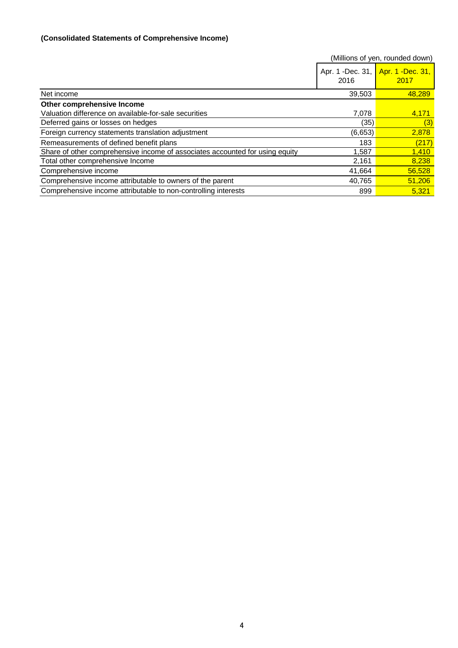# **(Consolidated Statements of Comprehensive Income)**

|                                                                              |                           | (Millions of yen, rounded down) |
|------------------------------------------------------------------------------|---------------------------|---------------------------------|
|                                                                              | Apr. 1 - Dec. 31,<br>2016 | Apr. 1 - Dec. 31,<br>2017       |
| Net income                                                                   | 39,503                    | 48,289                          |
| Other comprehensive Income                                                   |                           |                                 |
| Valuation difference on available-for-sale securities                        | 7,078                     | 4,171                           |
| Deferred gains or losses on hedges                                           | (35)                      | (3)                             |
| Foreign currency statements translation adjustment                           | (6,653)                   | 2,878                           |
| Remeasurements of defined benefit plans                                      | 183                       | (217)                           |
| Share of other comprehensive income of associates accounted for using equity | 1,587                     | 1,410                           |
| Total other comprehensive Income                                             | 2,161                     | 8,238                           |
| Comprehensive income                                                         | 41,664                    | 56,528                          |
| Comprehensive income attributable to owners of the parent                    | 40,765                    | 51,206                          |
| Comprehensive income attributable to non-controlling interests               | 899                       | 5.321                           |